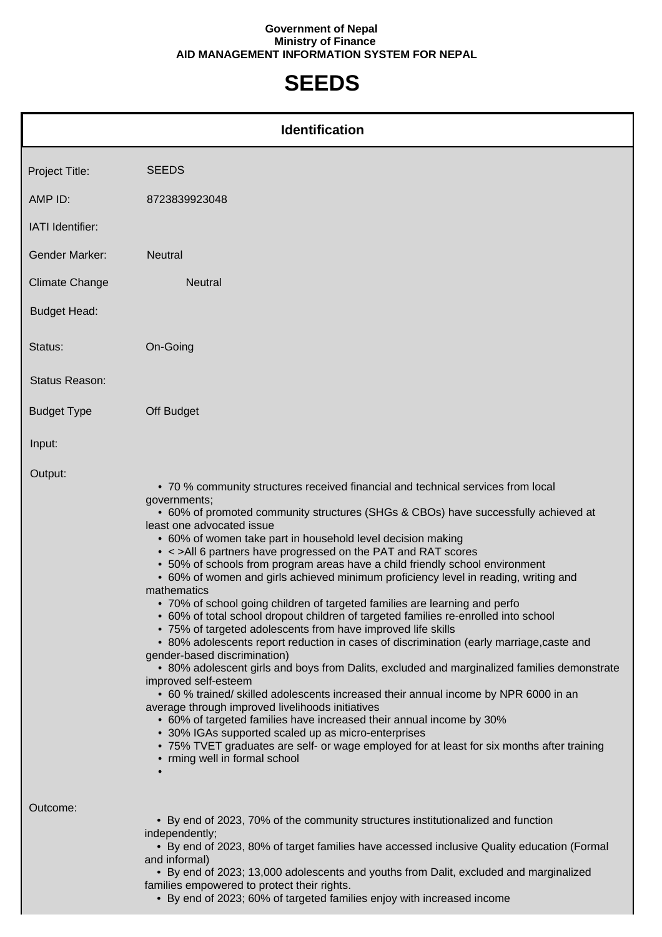## **Government of Nepal Ministry of Finance AID MANAGEMENT INFORMATION SYSTEM FOR NEPAL**

## **SEEDS**

| <b>Identification</b> |                                                                                                                                                                                                                                                                                                                                                                                                                                                                                                                                                                                                                                                                                                                                                                                                                                                                                                                                                                                                                                                                                                                                                                                                                                                                                                                                                                                                                                            |  |
|-----------------------|--------------------------------------------------------------------------------------------------------------------------------------------------------------------------------------------------------------------------------------------------------------------------------------------------------------------------------------------------------------------------------------------------------------------------------------------------------------------------------------------------------------------------------------------------------------------------------------------------------------------------------------------------------------------------------------------------------------------------------------------------------------------------------------------------------------------------------------------------------------------------------------------------------------------------------------------------------------------------------------------------------------------------------------------------------------------------------------------------------------------------------------------------------------------------------------------------------------------------------------------------------------------------------------------------------------------------------------------------------------------------------------------------------------------------------------------|--|
| Project Title:        | <b>SEEDS</b>                                                                                                                                                                                                                                                                                                                                                                                                                                                                                                                                                                                                                                                                                                                                                                                                                                                                                                                                                                                                                                                                                                                                                                                                                                                                                                                                                                                                                               |  |
| AMP ID:               | 8723839923048                                                                                                                                                                                                                                                                                                                                                                                                                                                                                                                                                                                                                                                                                                                                                                                                                                                                                                                                                                                                                                                                                                                                                                                                                                                                                                                                                                                                                              |  |
| IATI Identifier:      |                                                                                                                                                                                                                                                                                                                                                                                                                                                                                                                                                                                                                                                                                                                                                                                                                                                                                                                                                                                                                                                                                                                                                                                                                                                                                                                                                                                                                                            |  |
| <b>Gender Marker:</b> | <b>Neutral</b>                                                                                                                                                                                                                                                                                                                                                                                                                                                                                                                                                                                                                                                                                                                                                                                                                                                                                                                                                                                                                                                                                                                                                                                                                                                                                                                                                                                                                             |  |
| <b>Climate Change</b> | <b>Neutral</b>                                                                                                                                                                                                                                                                                                                                                                                                                                                                                                                                                                                                                                                                                                                                                                                                                                                                                                                                                                                                                                                                                                                                                                                                                                                                                                                                                                                                                             |  |
| <b>Budget Head:</b>   |                                                                                                                                                                                                                                                                                                                                                                                                                                                                                                                                                                                                                                                                                                                                                                                                                                                                                                                                                                                                                                                                                                                                                                                                                                                                                                                                                                                                                                            |  |
| Status:               | On-Going                                                                                                                                                                                                                                                                                                                                                                                                                                                                                                                                                                                                                                                                                                                                                                                                                                                                                                                                                                                                                                                                                                                                                                                                                                                                                                                                                                                                                                   |  |
| Status Reason:        |                                                                                                                                                                                                                                                                                                                                                                                                                                                                                                                                                                                                                                                                                                                                                                                                                                                                                                                                                                                                                                                                                                                                                                                                                                                                                                                                                                                                                                            |  |
| <b>Budget Type</b>    | Off Budget                                                                                                                                                                                                                                                                                                                                                                                                                                                                                                                                                                                                                                                                                                                                                                                                                                                                                                                                                                                                                                                                                                                                                                                                                                                                                                                                                                                                                                 |  |
| Input:                |                                                                                                                                                                                                                                                                                                                                                                                                                                                                                                                                                                                                                                                                                                                                                                                                                                                                                                                                                                                                                                                                                                                                                                                                                                                                                                                                                                                                                                            |  |
| Output:               | • 70 % community structures received financial and technical services from local<br>governments;<br>• 60% of promoted community structures (SHGs & CBOs) have successfully achieved at<br>least one advocated issue<br>• 60% of women take part in household level decision making<br>• < >All 6 partners have progressed on the PAT and RAT scores<br>• 50% of schools from program areas have a child friendly school environment<br>• 60% of women and girls achieved minimum proficiency level in reading, writing and<br>mathematics<br>• 70% of school going children of targeted families are learning and perfo<br>• 60% of total school dropout children of targeted families re-enrolled into school<br>• 75% of targeted adolescents from have improved life skills<br>• 80% adolescents report reduction in cases of discrimination (early marriage, caste and<br>gender-based discrimination)<br>• 80% adolescent girls and boys from Dalits, excluded and marginalized families demonstrate<br>improved self-esteem<br>• 60 % trained/ skilled adolescents increased their annual income by NPR 6000 in an<br>average through improved livelihoods initiatives<br>• 60% of targeted families have increased their annual income by 30%<br>• 30% IGAs supported scaled up as micro-enterprises<br>• 75% TVET graduates are self- or wage employed for at least for six months after training<br>• rming well in formal school |  |
| Outcome:              | • By end of 2023, 70% of the community structures institutionalized and function<br>independently;<br>• By end of 2023, 80% of target families have accessed inclusive Quality education (Formal<br>and informal)<br>• By end of 2023; 13,000 adolescents and youths from Dalit, excluded and marginalized<br>families empowered to protect their rights.<br>• By end of 2023; 60% of targeted families enjoy with increased income                                                                                                                                                                                                                                                                                                                                                                                                                                                                                                                                                                                                                                                                                                                                                                                                                                                                                                                                                                                                        |  |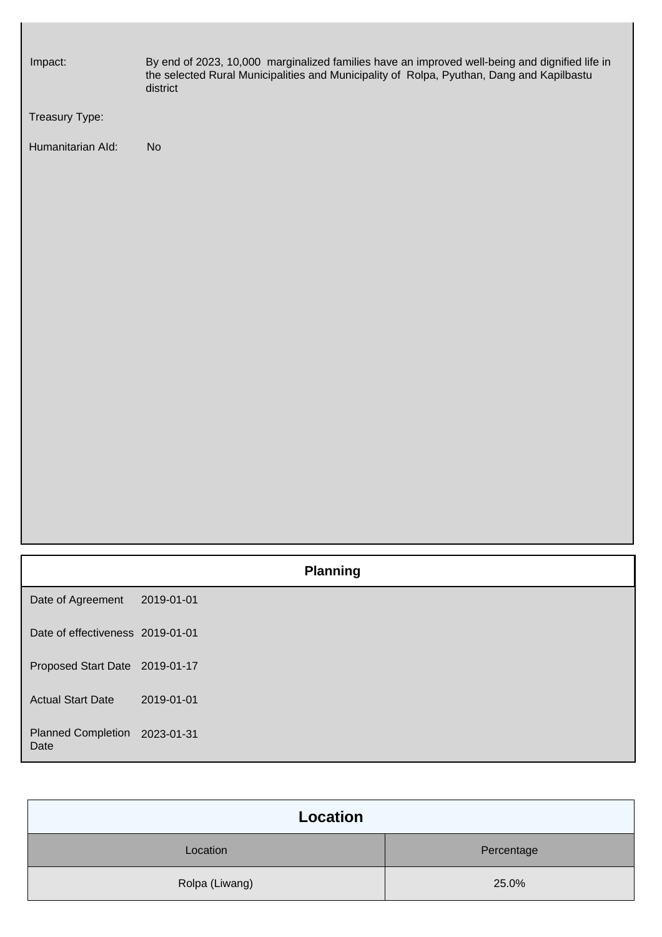| Impact:           | By end of 2023, 10,000 marginalized families have an improved well-being and dignified life in<br>the selected Rural Municipalities and Municipality of Rolpa, Pyuthan, Dang and Kapilbastu<br>district |
|-------------------|---------------------------------------------------------------------------------------------------------------------------------------------------------------------------------------------------------|
| Treasury Type:    |                                                                                                                                                                                                         |
| Humanitarian Ald: | <b>No</b>                                                                                                                                                                                               |
|                   |                                                                                                                                                                                                         |
|                   |                                                                                                                                                                                                         |
|                   |                                                                                                                                                                                                         |
|                   |                                                                                                                                                                                                         |
|                   |                                                                                                                                                                                                         |
|                   |                                                                                                                                                                                                         |
|                   |                                                                                                                                                                                                         |
|                   |                                                                                                                                                                                                         |
|                   |                                                                                                                                                                                                         |
|                   |                                                                                                                                                                                                         |
|                   |                                                                                                                                                                                                         |
|                   |                                                                                                                                                                                                         |
|                   |                                                                                                                                                                                                         |

|                                       |            | <b>Planning</b> |
|---------------------------------------|------------|-----------------|
| Date of Agreement                     | 2019-01-01 |                 |
| Date of effectiveness 2019-01-01      |            |                 |
| Proposed Start Date 2019-01-17        |            |                 |
| <b>Actual Start Date</b>              | 2019-01-01 |                 |
| Planned Completion 2023-01-31<br>Date |            |                 |

| Location       |            |  |
|----------------|------------|--|
| Location       | Percentage |  |
| Rolpa (Liwang) | 25.0%      |  |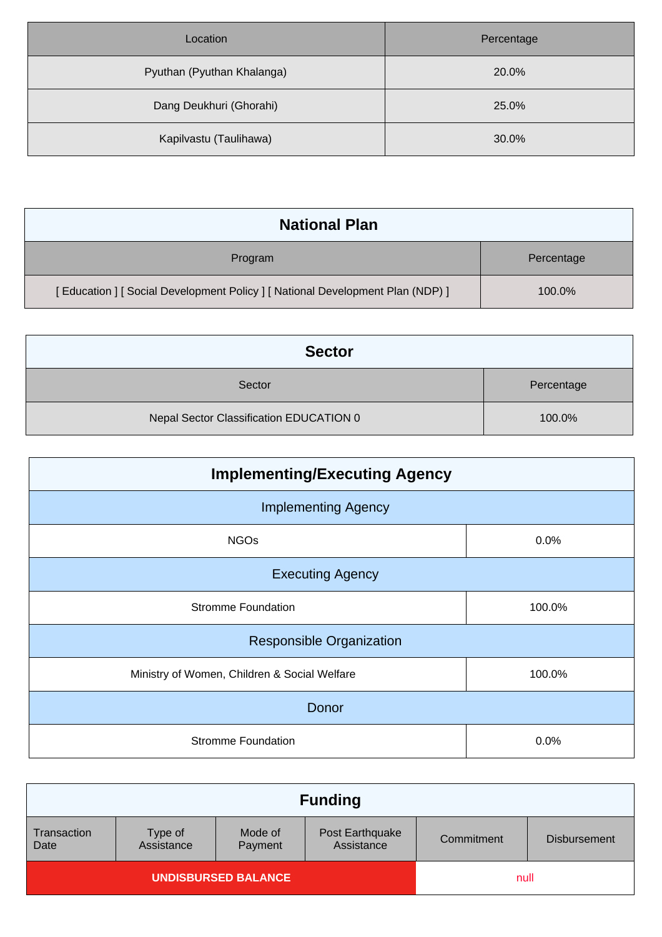| Location                   | Percentage |
|----------------------------|------------|
| Pyuthan (Pyuthan Khalanga) | 20.0%      |
| Dang Deukhuri (Ghorahi)    | 25.0%      |
| Kapilvastu (Taulihawa)     | 30.0%      |

| <b>National Plan</b>                                                      |            |  |
|---------------------------------------------------------------------------|------------|--|
| Program                                                                   | Percentage |  |
| [Education] [Social Development Policy] [National Development Plan (NDP)] | 100.0%     |  |

| <b>Sector</b>                           |            |  |
|-----------------------------------------|------------|--|
| Sector                                  | Percentage |  |
| Nepal Sector Classification EDUCATION 0 | 100.0%     |  |

| <b>Implementing/Executing Agency</b>         |        |  |
|----------------------------------------------|--------|--|
| <b>Implementing Agency</b>                   |        |  |
| <b>NGOs</b>                                  | 0.0%   |  |
| <b>Executing Agency</b>                      |        |  |
| <b>Stromme Foundation</b>                    | 100.0% |  |
| <b>Responsible Organization</b>              |        |  |
| Ministry of Women, Children & Social Welfare | 100.0% |  |
| Donor                                        |        |  |
| <b>Stromme Foundation</b>                    | 0.0%   |  |

| <b>Funding</b>             |                       |                    |                               |            |                     |
|----------------------------|-----------------------|--------------------|-------------------------------|------------|---------------------|
| Transaction<br>Date        | Type of<br>Assistance | Mode of<br>Payment | Post Earthquake<br>Assistance | Commitment | <b>Disbursement</b> |
| <b>UNDISBURSED BALANCE</b> |                       |                    | null                          |            |                     |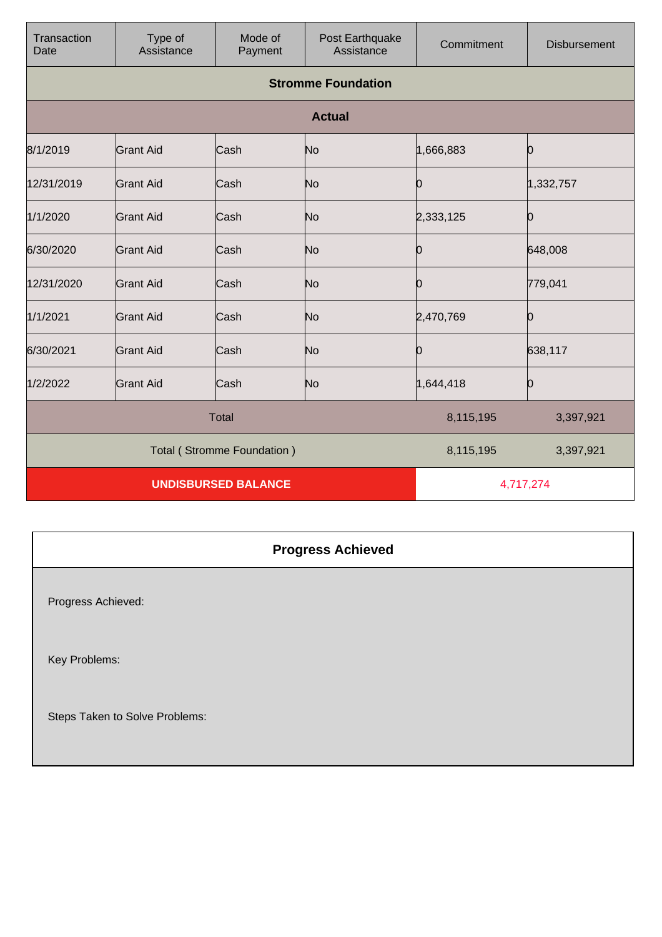| Transaction<br>Date        | Type of<br>Assistance | Mode of<br>Payment | Post Earthquake<br>Assistance | Commitment | <b>Disbursement</b> |
|----------------------------|-----------------------|--------------------|-------------------------------|------------|---------------------|
|                            |                       |                    | <b>Stromme Foundation</b>     |            |                     |
|                            |                       |                    | <b>Actual</b>                 |            |                     |
| 8/1/2019                   | <b>Grant Aid</b>      | Cash               | No                            | 1,666,883  | Ю                   |
| 12/31/2019                 | <b>Grant Aid</b>      | Cash               | No                            | Ю          | 1,332,757           |
| 1/1/2020                   | <b>Grant Aid</b>      | Cash               | No                            | 2,333,125  | Ю                   |
| 6/30/2020                  | <b>Grant Aid</b>      | Cash               | No                            | Ю          | 648,008             |
| 12/31/2020                 | <b>Grant Aid</b>      | Cash               | No                            | Ю          | 779,041             |
| 1/1/2021                   | <b>Grant Aid</b>      | Cash               | No                            | 2,470,769  | 10                  |
| 6/30/2021                  | <b>Grant Aid</b>      | Cash               | No                            | Ŋ          | 638,117             |
| 1/2/2022                   | <b>Grant Aid</b>      | Cash               | No                            | 1,644,418  | Ю                   |
| <b>Total</b>               |                       |                    | 8,115,195                     | 3,397,921  |                     |
| Total (Stromme Foundation) |                       |                    | 8,115,195                     | 3,397,921  |                     |
| <b>UNDISBURSED BALANCE</b> |                       |                    | 4,717,274                     |            |                     |

## **Progress Achieved**

Progress Achieved:

Key Problems:

Steps Taken to Solve Problems: